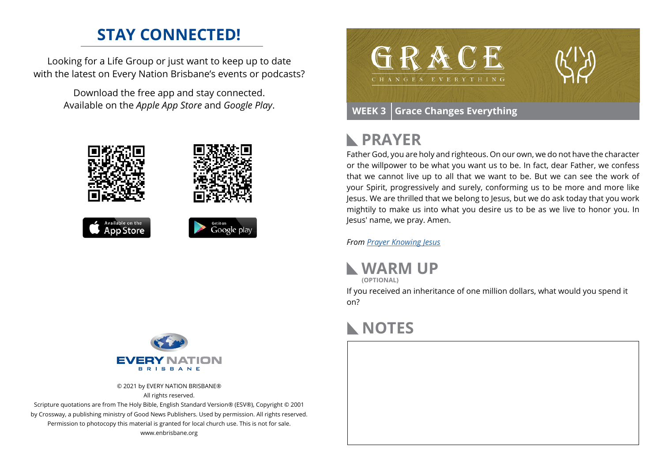### **STAY CONNECTED!**

Looking for a Life Group or just want to keep up to date with the latest on Every Nation Brisbane's events or podcasts?

> Download the free app and stay connected. Available on the *Apple App Store* and *Google Play*.





© 2021 by EVERY NATION BRISBANE® All rights reserved.

Scripture quotations are from The Holy Bible, English Standard Version® (ESV®), Copyright © 2001 by Crossway, a publishing ministry of Good News Publishers. Used by permission. All rights reserved. Permission to photocopy this material is granted for local church use. This is not for sale. www.enbrisbane.org



## **PRAYER**

Father God, you are holy and righteous. On our own, we do not have the character or the willpower to be what you want us to be. In fact, dear Father, we confess that we cannot live up to all that we want to be. But we can see the work of your Spirit, progressively and surely, conforming us to be more and more like Jesus. We are thrilled that we belong to Jesus, but we do ask today that you work mightily to make us into what you desire us to be as we live to honor you. In Jesus' name, we pray. Amen.

*From [Prayer](https://prayer.knowing-jesus.com/Romans/6) Knowing Jesus*



**(OPTIONAL)**

If you received an inheritance of one million dollars, what would you spend it on?

## **NOTES**